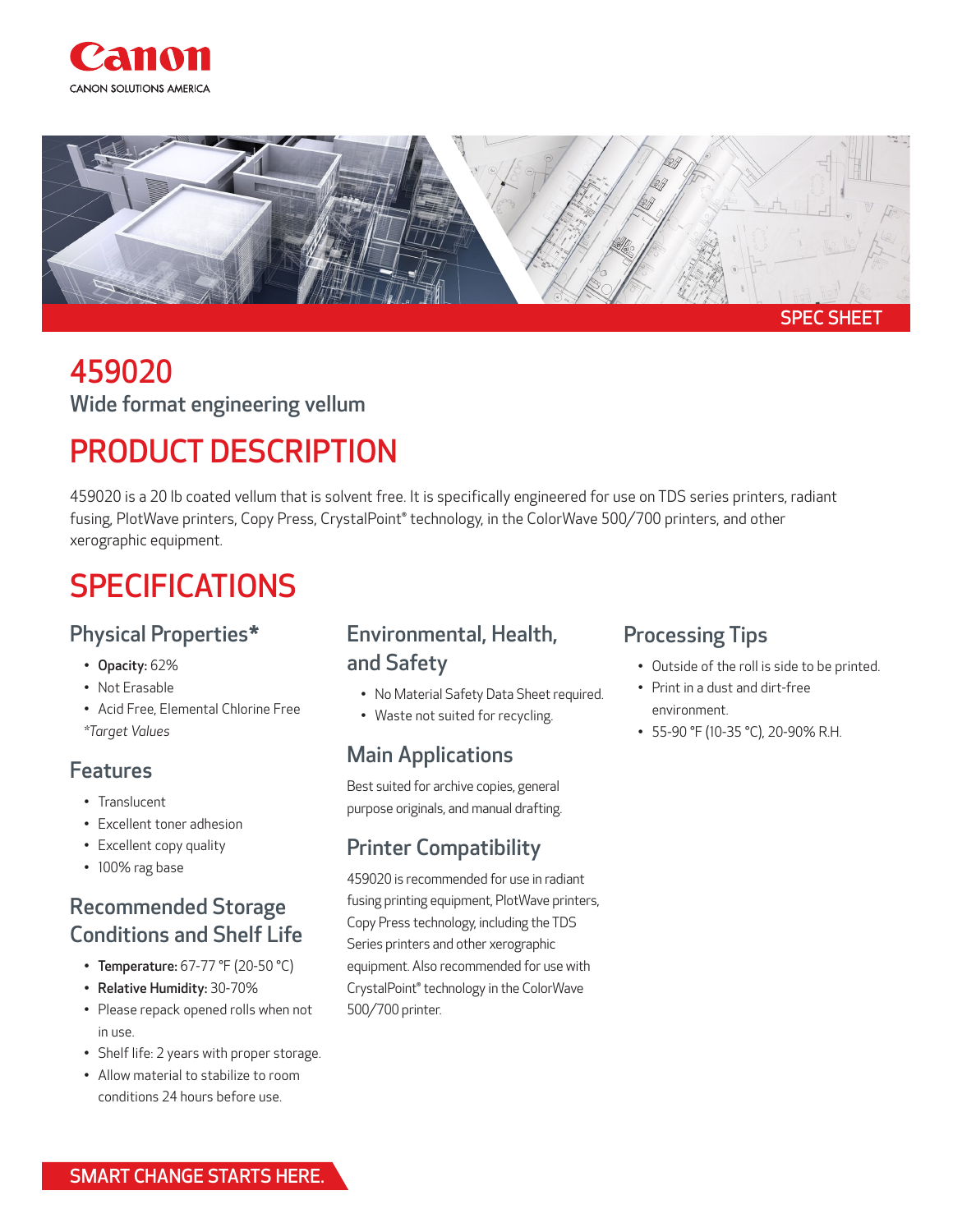



# 459020

Wide format engineering vellum

## PRODUCT DESCRIPTION

459020 is a 20 lb coated vellum that is solvent free. It is specifically engineered for use on TDS series printers, radiant fusing, PlotWave printers, Copy Press, CrystalPoint® technology, in the ColorWave 500/700 printers, and other xerographic equipment.

## **SPECIFICATIONS**

### Physical Properties\*

- Opacity: 62%
- Not Erasable
- Acid Free, Elemental Chlorine Free *\*Target Values*

#### Features

- Translucent
- Excellent toner adhesion
- Excellent copy quality
- 100% rag base

### Recommended Storage Conditions and Shelf Life

- Temperature: 67-77 °F (20-50 °C)
- Relative Humidity: 30-70%
- Please repack opened rolls when not in use.
- Shelf life: 2 years with proper storage.
- Allow material to stabilize to room conditions 24 hours before use.

#### Environmental, Health, and Safety

- No Material Safety Data Sheet required.
- Waste not suited for recycling.

## Main Applications

Best suited for archive copies, general purpose originals, and manual drafting.

### Printer Compatibility

459020 is recommended for use in radiant fusing printing equipment, PlotWave printers, Copy Press technology, including the TDS Series printers and other xerographic equipment. Also recommended for use with CrystalPoint® technology in the ColorWave 500/700 printer.

### Processing Tips

- Outside of the roll is side to be printed.
- Print in a dust and dirt-free environment.
- 55-90 °F (10-35 °C), 20-90% R.H.